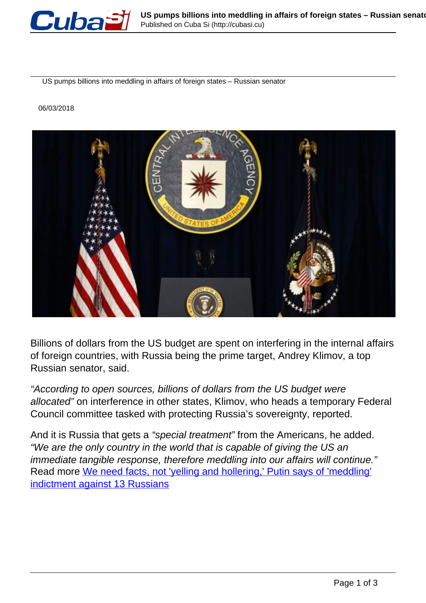

US pumps billions into meddling in affairs of foreign states – Russian senator

## 06/03/2018



Billions of dollars from the US budget are spent on interfering in the internal affairs of foreign countries, with Russia being the prime target, Andrey Klimov, a top Russian senator, said.

"According to open sources, billions of dollars from the US budget were allocated" on interference in other states, Klimov, who heads a temporary Federal Council committee tasked with protecting Russia's sovereignty, reported.

And it is Russia that gets a "special treatment" from the Americans, he added. "We are the only country in the world that is capable of giving the US an immediate tangible response, therefore meddling into our affairs will continue." Read more [We need facts, not 'yelling and hollering,' Putin says of 'meddling'](https://www.rt.com/news/420399-putin-election-meddling-receipts/) [indictment against 13 Russians](https://www.rt.com/news/420399-putin-election-meddling-receipts/)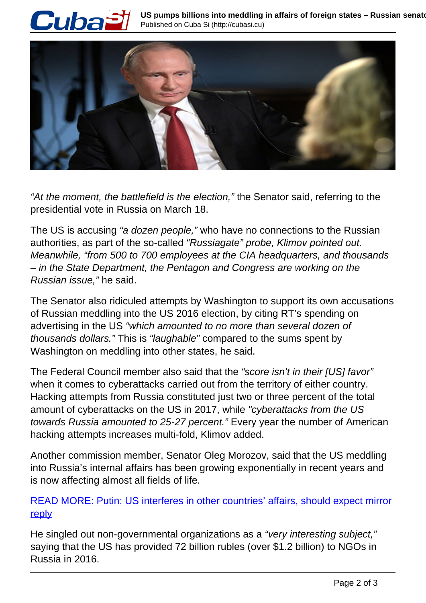



"At the moment, the battlefield is the election," the Senator said, referring to the presidential vote in Russia on March 18.

The US is accusing "a *dozen people*," who have no connections to the Russian authorities, as part of the so-called "Russiagate" probe, Klimov pointed out. Meanwhile, "from 500 to 700 employees at the CIA headquarters, and thousands – in the State Department, the Pentagon and Congress are working on the Russian issue," he said.

The Senator also ridiculed attempts by Washington to support its own accusations of Russian meddling into the US 2016 election, by citing RT's spending on advertising in the US "which amounted to no more than several dozen of thousands dollars." This is "laughable" compared to the sums spent by Washington on meddling into other states, he said.

The Federal Council member also said that the "score isn't in their [US] favor" when it comes to cyberattacks carried out from the territory of either country. Hacking attempts from Russia constituted just two or three percent of the total amount of cyberattacks on the US in 2017, while "cyberattacks from the US towards Russia amounted to 25-27 percent." Every year the number of American hacking attempts increases multi-fold, Klimov added.

Another commission member, Senator Oleg Morozov, said that the US meddling into Russia's internal affairs has been growing exponentially in recent years and is now affecting almost all fields of life.

## READ MORE: Putin: US interferes in other countries' affairs, should expect mirror reply

He singled out non-governmental organizations as a "very interesting subject," saying that the US has provided 72 billion rubles (over \$1.2 billion) to NGOs in Russia in 2016.